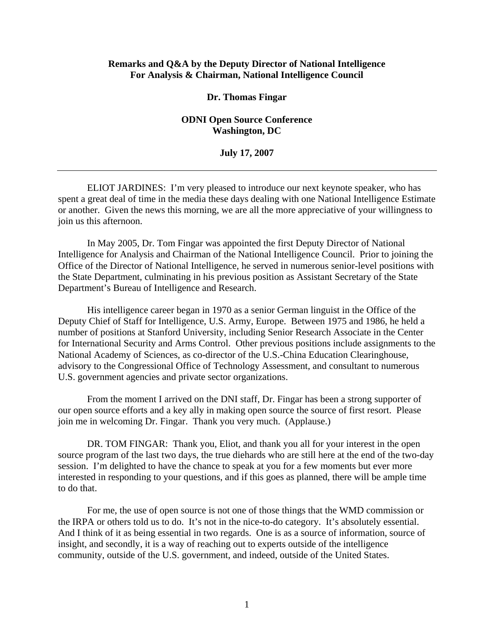## **Remarks and Q&A by the Deputy Director of National Intelligence For Analysis & Chairman, National Intelligence Council**

## **Dr. Thomas Fingar**

## **ODNI Open Source Conference Washington, DC**

## **July 17, 2007**

ELIOT JARDINES: I'm very pleased to introduce our next keynote speaker, who has spent a great deal of time in the media these days dealing with one National Intelligence Estimate or another. Given the news this morning, we are all the more appreciative of your willingness to join us this afternoon.

In May 2005, Dr. Tom Fingar was appointed the first Deputy Director of National Intelligence for Analysis and Chairman of the National Intelligence Council. Prior to joining the Office of the Director of National Intelligence, he served in numerous senior-level positions with the State Department, culminating in his previous position as Assistant Secretary of the State Department's Bureau of Intelligence and Research.

His intelligence career began in 1970 as a senior German linguist in the Office of the Deputy Chief of Staff for Intelligence, U.S. Army, Europe. Between 1975 and 1986, he held a number of positions at Stanford University, including Senior Research Associate in the Center for International Security and Arms Control. Other previous positions include assignments to the National Academy of Sciences, as co-director of the U.S.-China Education Clearinghouse, advisory to the Congressional Office of Technology Assessment, and consultant to numerous U.S. government agencies and private sector organizations.

From the moment I arrived on the DNI staff, Dr. Fingar has been a strong supporter of our open source efforts and a key ally in making open source the source of first resort. Please join me in welcoming Dr. Fingar. Thank you very much. (Applause.)

DR. TOM FINGAR: Thank you, Eliot, and thank you all for your interest in the open source program of the last two days, the true diehards who are still here at the end of the two-day session. I'm delighted to have the chance to speak at you for a few moments but ever more interested in responding to your questions, and if this goes as planned, there will be ample time to do that.

For me, the use of open source is not one of those things that the WMD commission or the IRPA or others told us to do. It's not in the nice-to-do category. It's absolutely essential. And I think of it as being essential in two regards. One is as a source of information, source of insight, and secondly, it is a way of reaching out to experts outside of the intelligence community, outside of the U.S. government, and indeed, outside of the United States.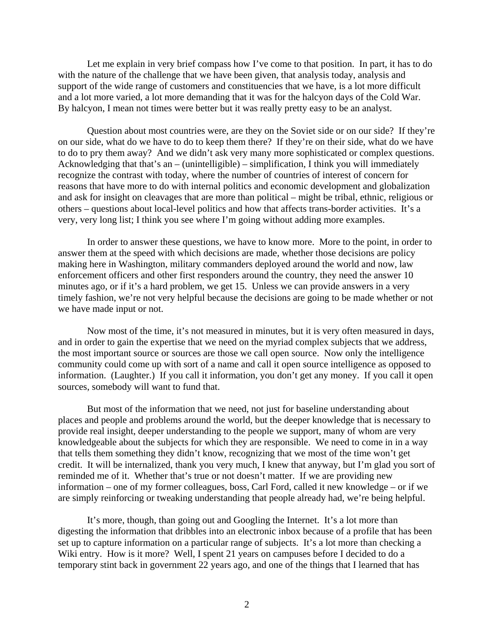Let me explain in very brief compass how I've come to that position. In part, it has to do with the nature of the challenge that we have been given, that analysis today, analysis and support of the wide range of customers and constituencies that we have, is a lot more difficult and a lot more varied, a lot more demanding that it was for the halcyon days of the Cold War. By halcyon, I mean not times were better but it was really pretty easy to be an analyst.

Question about most countries were, are they on the Soviet side or on our side? If they're on our side, what do we have to do to keep them there? If they're on their side, what do we have to do to pry them away? And we didn't ask very many more sophisticated or complex questions. Acknowledging that that's an – (unintelligible) – simplification, I think you will immediately recognize the contrast with today, where the number of countries of interest of concern for reasons that have more to do with internal politics and economic development and globalization and ask for insight on cleavages that are more than political – might be tribal, ethnic, religious or others – questions about local-level politics and how that affects trans-border activities. It's a very, very long list; I think you see where I'm going without adding more examples.

In order to answer these questions, we have to know more. More to the point, in order to answer them at the speed with which decisions are made, whether those decisions are policy making here in Washington, military commanders deployed around the world and now, law enforcement officers and other first responders around the country, they need the answer 10 minutes ago, or if it's a hard problem, we get 15. Unless we can provide answers in a very timely fashion, we're not very helpful because the decisions are going to be made whether or not we have made input or not.

Now most of the time, it's not measured in minutes, but it is very often measured in days, and in order to gain the expertise that we need on the myriad complex subjects that we address, the most important source or sources are those we call open source. Now only the intelligence community could come up with sort of a name and call it open source intelligence as opposed to information. (Laughter.) If you call it information, you don't get any money. If you call it open sources, somebody will want to fund that.

But most of the information that we need, not just for baseline understanding about places and people and problems around the world, but the deeper knowledge that is necessary to provide real insight, deeper understanding to the people we support, many of whom are very knowledgeable about the subjects for which they are responsible. We need to come in in a way that tells them something they didn't know, recognizing that we most of the time won't get credit. It will be internalized, thank you very much, I knew that anyway, but I'm glad you sort of reminded me of it. Whether that's true or not doesn't matter. If we are providing new information – one of my former colleagues, boss, Carl Ford, called it new knowledge – or if we are simply reinforcing or tweaking understanding that people already had, we're being helpful.

It's more, though, than going out and Googling the Internet. It's a lot more than digesting the information that dribbles into an electronic inbox because of a profile that has been set up to capture information on a particular range of subjects. It's a lot more than checking a Wiki entry. How is it more? Well, I spent 21 years on campuses before I decided to do a temporary stint back in government 22 years ago, and one of the things that I learned that has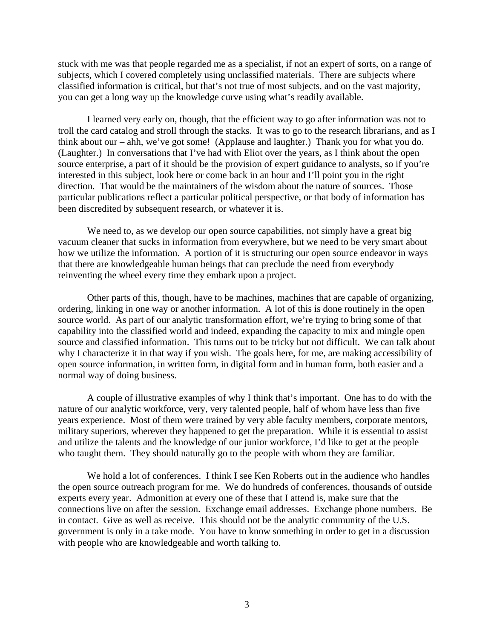stuck with me was that people regarded me as a specialist, if not an expert of sorts, on a range of subjects, which I covered completely using unclassified materials. There are subjects where classified information is critical, but that's not true of most subjects, and on the vast majority, you can get a long way up the knowledge curve using what's readily available.

I learned very early on, though, that the efficient way to go after information was not to troll the card catalog and stroll through the stacks. It was to go to the research librarians, and as I think about our – ahh, we've got some! (Applause and laughter.) Thank you for what you do. (Laughter.) In conversations that I've had with Eliot over the years, as I think about the open source enterprise, a part of it should be the provision of expert guidance to analysts, so if you're interested in this subject, look here or come back in an hour and I'll point you in the right direction. That would be the maintainers of the wisdom about the nature of sources. Those particular publications reflect a particular political perspective, or that body of information has been discredited by subsequent research, or whatever it is.

We need to, as we develop our open source capabilities, not simply have a great big vacuum cleaner that sucks in information from everywhere, but we need to be very smart about how we utilize the information. A portion of it is structuring our open source endeavor in ways that there are knowledgeable human beings that can preclude the need from everybody reinventing the wheel every time they embark upon a project.

Other parts of this, though, have to be machines, machines that are capable of organizing, ordering, linking in one way or another information. A lot of this is done routinely in the open source world. As part of our analytic transformation effort, we're trying to bring some of that capability into the classified world and indeed, expanding the capacity to mix and mingle open source and classified information. This turns out to be tricky but not difficult. We can talk about why I characterize it in that way if you wish. The goals here, for me, are making accessibility of open source information, in written form, in digital form and in human form, both easier and a normal way of doing business.

A couple of illustrative examples of why I think that's important. One has to do with the nature of our analytic workforce, very, very talented people, half of whom have less than five years experience. Most of them were trained by very able faculty members, corporate mentors, military superiors, wherever they happened to get the preparation. While it is essential to assist and utilize the talents and the knowledge of our junior workforce, I'd like to get at the people who taught them. They should naturally go to the people with whom they are familiar.

We hold a lot of conferences. I think I see Ken Roberts out in the audience who handles the open source outreach program for me. We do hundreds of conferences, thousands of outside experts every year. Admonition at every one of these that I attend is, make sure that the connections live on after the session. Exchange email addresses. Exchange phone numbers. Be in contact. Give as well as receive. This should not be the analytic community of the U.S. government is only in a take mode. You have to know something in order to get in a discussion with people who are knowledgeable and worth talking to.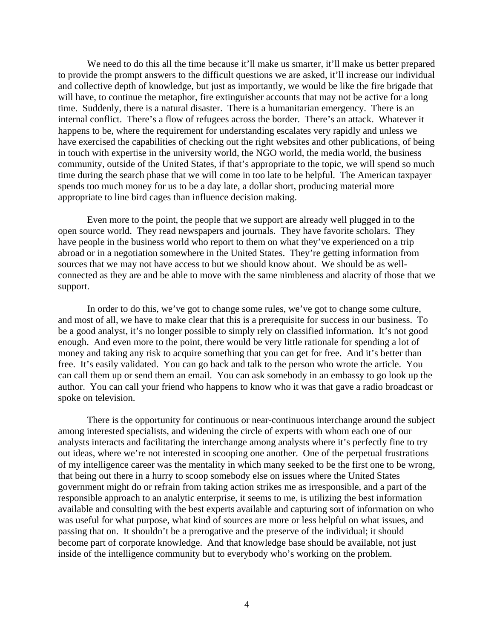We need to do this all the time because it'll make us smarter, it'll make us better prepared to provide the prompt answers to the difficult questions we are asked, it'll increase our individual and collective depth of knowledge, but just as importantly, we would be like the fire brigade that will have, to continue the metaphor, fire extinguisher accounts that may not be active for a long time. Suddenly, there is a natural disaster. There is a humanitarian emergency. There is an internal conflict. There's a flow of refugees across the border. There's an attack. Whatever it happens to be, where the requirement for understanding escalates very rapidly and unless we have exercised the capabilities of checking out the right websites and other publications, of being in touch with expertise in the university world, the NGO world, the media world, the business community, outside of the United States, if that's appropriate to the topic, we will spend so much time during the search phase that we will come in too late to be helpful. The American taxpayer spends too much money for us to be a day late, a dollar short, producing material more appropriate to line bird cages than influence decision making.

Even more to the point, the people that we support are already well plugged in to the open source world. They read newspapers and journals. They have favorite scholars. They have people in the business world who report to them on what they've experienced on a trip abroad or in a negotiation somewhere in the United States. They're getting information from sources that we may not have access to but we should know about. We should be as wellconnected as they are and be able to move with the same nimbleness and alacrity of those that we support.

In order to do this, we've got to change some rules, we've got to change some culture, and most of all, we have to make clear that this is a prerequisite for success in our business. To be a good analyst, it's no longer possible to simply rely on classified information. It's not good enough. And even more to the point, there would be very little rationale for spending a lot of money and taking any risk to acquire something that you can get for free. And it's better than free. It's easily validated. You can go back and talk to the person who wrote the article. You can call them up or send them an email. You can ask somebody in an embassy to go look up the author. You can call your friend who happens to know who it was that gave a radio broadcast or spoke on television.

There is the opportunity for continuous or near-continuous interchange around the subject among interested specialists, and widening the circle of experts with whom each one of our analysts interacts and facilitating the interchange among analysts where it's perfectly fine to try out ideas, where we're not interested in scooping one another. One of the perpetual frustrations of my intelligence career was the mentality in which many seeked to be the first one to be wrong, that being out there in a hurry to scoop somebody else on issues where the United States government might do or refrain from taking action strikes me as irresponsible, and a part of the responsible approach to an analytic enterprise, it seems to me, is utilizing the best information available and consulting with the best experts available and capturing sort of information on who was useful for what purpose, what kind of sources are more or less helpful on what issues, and passing that on. It shouldn't be a prerogative and the preserve of the individual; it should become part of corporate knowledge. And that knowledge base should be available, not just inside of the intelligence community but to everybody who's working on the problem.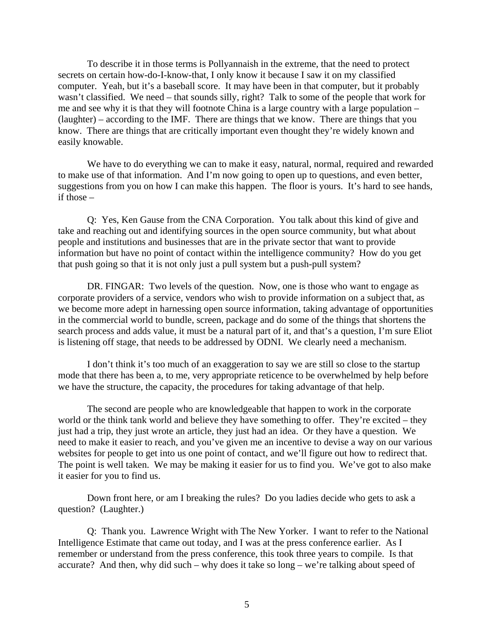To describe it in those terms is Pollyannaish in the extreme, that the need to protect secrets on certain how-do-I-know-that, I only know it because I saw it on my classified computer. Yeah, but it's a baseball score. It may have been in that computer, but it probably wasn't classified. We need – that sounds silly, right? Talk to some of the people that work for me and see why it is that they will footnote China is a large country with a large population – (laughter) – according to the IMF. There are things that we know. There are things that you know. There are things that are critically important even thought they're widely known and easily knowable.

We have to do everything we can to make it easy, natural, normal, required and rewarded to make use of that information. And I'm now going to open up to questions, and even better, suggestions from you on how I can make this happen. The floor is yours. It's hard to see hands, if those –

Q: Yes, Ken Gause from the CNA Corporation. You talk about this kind of give and take and reaching out and identifying sources in the open source community, but what about people and institutions and businesses that are in the private sector that want to provide information but have no point of contact within the intelligence community? How do you get that push going so that it is not only just a pull system but a push-pull system?

DR. FINGAR: Two levels of the question. Now, one is those who want to engage as corporate providers of a service, vendors who wish to provide information on a subject that, as we become more adept in harnessing open source information, taking advantage of opportunities in the commercial world to bundle, screen, package and do some of the things that shortens the search process and adds value, it must be a natural part of it, and that's a question, I'm sure Eliot is listening off stage, that needs to be addressed by ODNI. We clearly need a mechanism.

I don't think it's too much of an exaggeration to say we are still so close to the startup mode that there has been a, to me, very appropriate reticence to be overwhelmed by help before we have the structure, the capacity, the procedures for taking advantage of that help.

The second are people who are knowledgeable that happen to work in the corporate world or the think tank world and believe they have something to offer. They're excited – they just had a trip, they just wrote an article, they just had an idea. Or they have a question. We need to make it easier to reach, and you've given me an incentive to devise a way on our various websites for people to get into us one point of contact, and we'll figure out how to redirect that. The point is well taken. We may be making it easier for us to find you. We've got to also make it easier for you to find us.

Down front here, or am I breaking the rules? Do you ladies decide who gets to ask a question? (Laughter.)

Q: Thank you. Lawrence Wright with The New Yorker. I want to refer to the National Intelligence Estimate that came out today, and I was at the press conference earlier. As I remember or understand from the press conference, this took three years to compile. Is that accurate? And then, why did such – why does it take so long – we're talking about speed of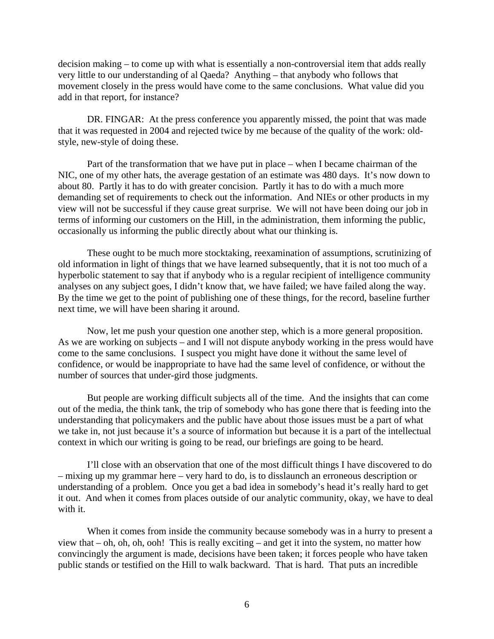decision making – to come up with what is essentially a non-controversial item that adds really very little to our understanding of al Qaeda? Anything – that anybody who follows that movement closely in the press would have come to the same conclusions. What value did you add in that report, for instance?

DR. FINGAR: At the press conference you apparently missed, the point that was made that it was requested in 2004 and rejected twice by me because of the quality of the work: oldstyle, new-style of doing these.

Part of the transformation that we have put in place – when I became chairman of the NIC, one of my other hats, the average gestation of an estimate was 480 days. It's now down to about 80. Partly it has to do with greater concision. Partly it has to do with a much more demanding set of requirements to check out the information. And NIEs or other products in my view will not be successful if they cause great surprise. We will not have been doing our job in terms of informing our customers on the Hill, in the administration, them informing the public, occasionally us informing the public directly about what our thinking is.

These ought to be much more stocktaking, reexamination of assumptions, scrutinizing of old information in light of things that we have learned subsequently, that it is not too much of a hyperbolic statement to say that if anybody who is a regular recipient of intelligence community analyses on any subject goes, I didn't know that, we have failed; we have failed along the way. By the time we get to the point of publishing one of these things, for the record, baseline further next time, we will have been sharing it around.

Now, let me push your question one another step, which is a more general proposition. As we are working on subjects – and I will not dispute anybody working in the press would have come to the same conclusions. I suspect you might have done it without the same level of confidence, or would be inappropriate to have had the same level of confidence, or without the number of sources that under-gird those judgments.

But people are working difficult subjects all of the time. And the insights that can come out of the media, the think tank, the trip of somebody who has gone there that is feeding into the understanding that policymakers and the public have about those issues must be a part of what we take in, not just because it's a source of information but because it is a part of the intellectual context in which our writing is going to be read, our briefings are going to be heard.

I'll close with an observation that one of the most difficult things I have discovered to do – mixing up my grammar here – very hard to do, is to disslaunch an erroneous description or understanding of a problem. Once you get a bad idea in somebody's head it's really hard to get it out. And when it comes from places outside of our analytic community, okay, we have to deal with it.

When it comes from inside the community because somebody was in a hurry to present a view that – oh, oh, oh, ooh! This is really exciting – and get it into the system, no matter how convincingly the argument is made, decisions have been taken; it forces people who have taken public stands or testified on the Hill to walk backward. That is hard. That puts an incredible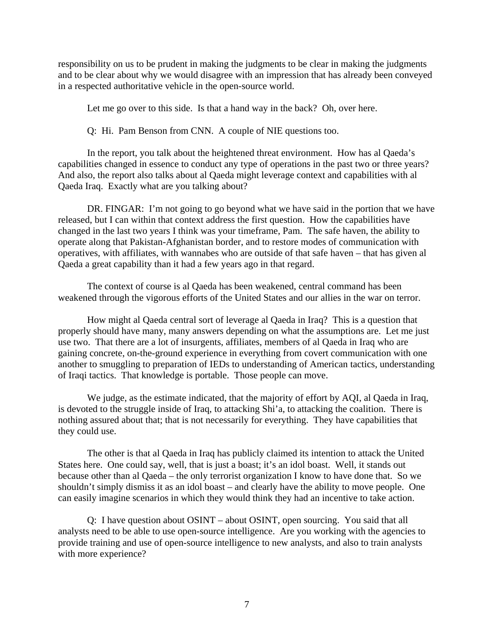responsibility on us to be prudent in making the judgments to be clear in making the judgments and to be clear about why we would disagree with an impression that has already been conveyed in a respected authoritative vehicle in the open-source world.

Let me go over to this side. Is that a hand way in the back? Oh, over here.

Q: Hi. Pam Benson from CNN. A couple of NIE questions too.

In the report, you talk about the heightened threat environment. How has al Qaeda's capabilities changed in essence to conduct any type of operations in the past two or three years? And also, the report also talks about al Qaeda might leverage context and capabilities with al Qaeda Iraq. Exactly what are you talking about?

DR. FINGAR: I'm not going to go beyond what we have said in the portion that we have released, but I can within that context address the first question. How the capabilities have changed in the last two years I think was your timeframe, Pam. The safe haven, the ability to operate along that Pakistan-Afghanistan border, and to restore modes of communication with operatives, with affiliates, with wannabes who are outside of that safe haven – that has given al Qaeda a great capability than it had a few years ago in that regard.

The context of course is al Qaeda has been weakened, central command has been weakened through the vigorous efforts of the United States and our allies in the war on terror.

How might al Qaeda central sort of leverage al Qaeda in Iraq? This is a question that properly should have many, many answers depending on what the assumptions are. Let me just use two. That there are a lot of insurgents, affiliates, members of al Qaeda in Iraq who are gaining concrete, on-the-ground experience in everything from covert communication with one another to smuggling to preparation of IEDs to understanding of American tactics, understanding of Iraqi tactics. That knowledge is portable. Those people can move.

We judge, as the estimate indicated, that the majority of effort by AQI, al Qaeda in Iraq, is devoted to the struggle inside of Iraq, to attacking Shi'a, to attacking the coalition. There is nothing assured about that; that is not necessarily for everything. They have capabilities that they could use.

The other is that al Qaeda in Iraq has publicly claimed its intention to attack the United States here. One could say, well, that is just a boast; it's an idol boast. Well, it stands out because other than al Qaeda – the only terrorist organization I know to have done that. So we shouldn't simply dismiss it as an idol boast – and clearly have the ability to move people. One can easily imagine scenarios in which they would think they had an incentive to take action.

Q: I have question about OSINT – about OSINT, open sourcing. You said that all analysts need to be able to use open-source intelligence. Are you working with the agencies to provide training and use of open-source intelligence to new analysts, and also to train analysts with more experience?